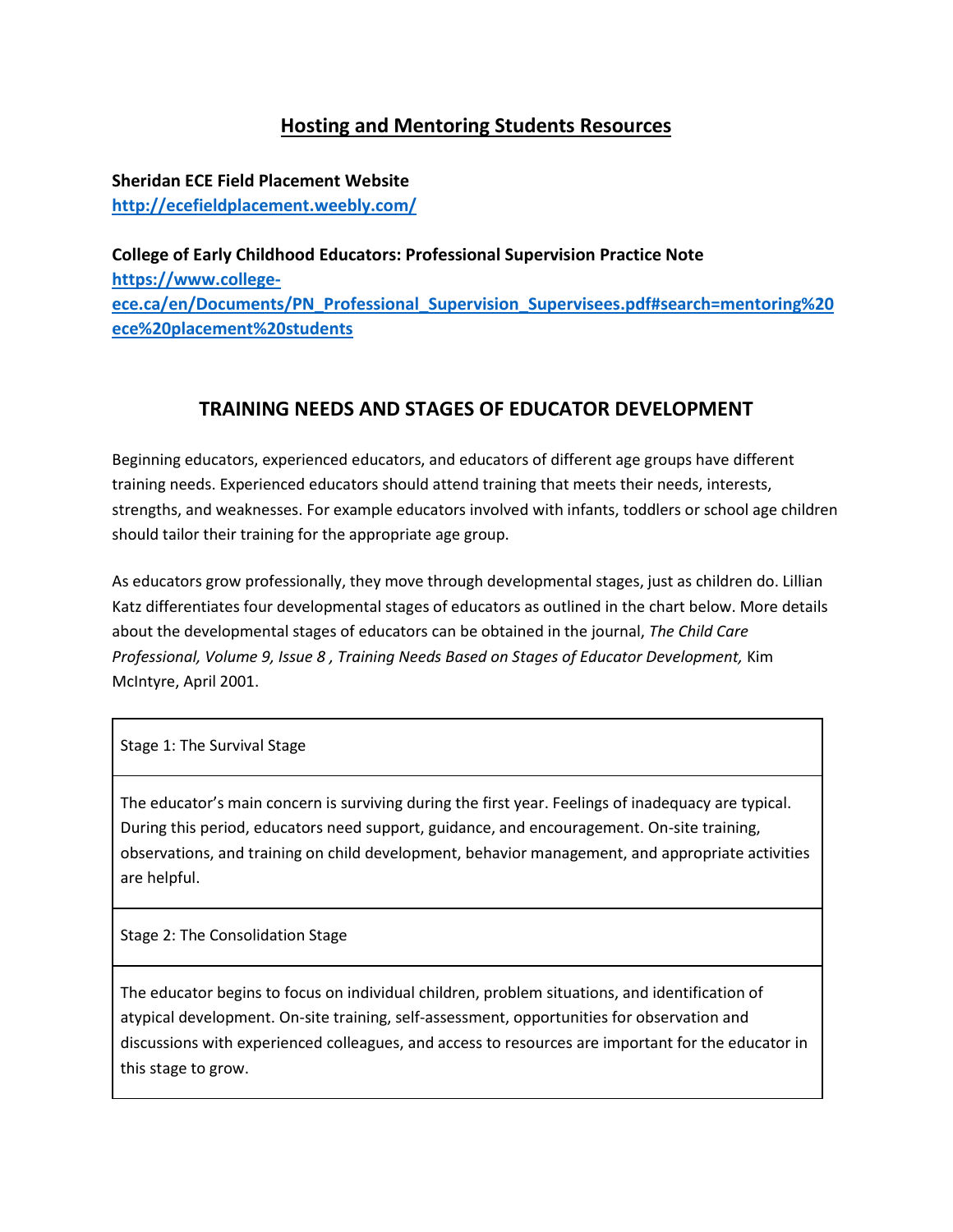## **Hosting and Mentoring Students Resources**

**Sheridan ECE Field Placement Website <http://ecefieldplacement.weebly.com/>**

**College of Early Childhood Educators: Professional Supervision Practice Note [https://www.college](https://www.college-ece.ca/en/Documents/PN_Professional_Supervision_Supervisees.pdf#search=mentoring%20ece%20placement%20students)[ece.ca/en/Documents/PN\\_Professional\\_Supervision\\_Supervisees.pdf#search=mentoring%20](https://www.college-ece.ca/en/Documents/PN_Professional_Supervision_Supervisees.pdf#search=mentoring%20ece%20placement%20students) [ece%20placement%20students](https://www.college-ece.ca/en/Documents/PN_Professional_Supervision_Supervisees.pdf#search=mentoring%20ece%20placement%20students)**

## **TRAINING NEEDS AND STAGES OF EDUCATOR DEVELOPMENT**

Beginning educators, experienced educators, and educators of different age groups have different training needs. Experienced educators should attend training that meets their needs, interests, strengths, and weaknesses. For example educators involved with infants, toddlers or school age children should tailor their training for the appropriate age group.

As educators grow professionally, they move through developmental stages, just as children do. Lillian Katz differentiates four developmental stages of educators as outlined in the chart below. More details about the developmental stages of educators can be obtained in the journal, *The Child Care Professional, Volume 9, Issue 8, Training Needs Based on Stages of Educator Development, Kim* McIntyre, April 2001.

Stage 1: The Survival Stage

The educator's main concern is surviving during the first year. Feelings of inadequacy are typical. During this period, educators need support, guidance, and encouragement. On-site training, observations, and training on child development, behavior management, and appropriate activities are helpful.

Stage 2: The Consolidation Stage

The educator begins to focus on individual children, problem situations, and identification of atypical development. On-site training, self-assessment, opportunities for observation and discussions with experienced colleagues, and access to resources are important for the educator in this stage to grow.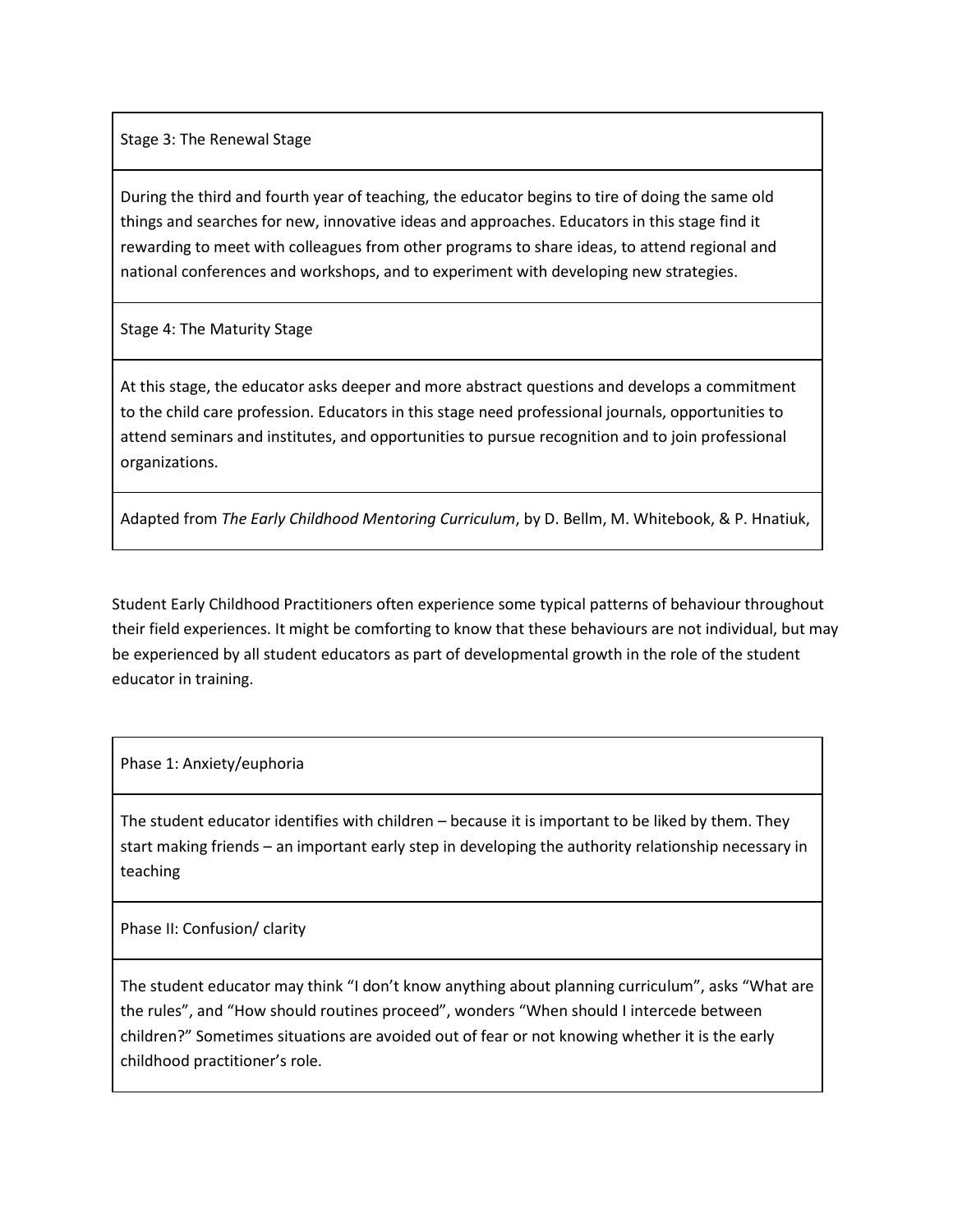Stage 3: The Renewal Stage

During the third and fourth year of teaching, the educator begins to tire of doing the same old things and searches for new, innovative ideas and approaches. Educators in this stage find it rewarding to meet with colleagues from other programs to share ideas, to attend regional and national conferences and workshops, and to experiment with developing new strategies.

Stage 4: The Maturity Stage

At this stage, the educator asks deeper and more abstract questions and develops a commitment to the child care profession. Educators in this stage need professional journals, opportunities to attend seminars and institutes, and opportunities to pursue recognition and to join professional organizations.

Adapted from *The Early Childhood Mentoring Curriculum*, by D. Bellm, M. Whitebook, & P. Hnatiuk,

Student Early Childhood Practitioners often experience some typical patterns of behaviour throughout their field experiences. It might be comforting to know that these behaviours are not individual, but may be experienced by all student educators as part of developmental growth in the role of the student educator in training.

Phase 1: Anxiety/euphoria

The student educator identifies with children – because it is important to be liked by them. They start making friends – an important early step in developing the authority relationship necessary in teaching

Phase II: Confusion/ clarity

The student educator may think "I don't know anything about planning curriculum", asks "What are the rules", and "How should routines proceed", wonders "When should I intercede between children?" Sometimes situations are avoided out of fear or not knowing whether it is the early childhood practitioner's role.